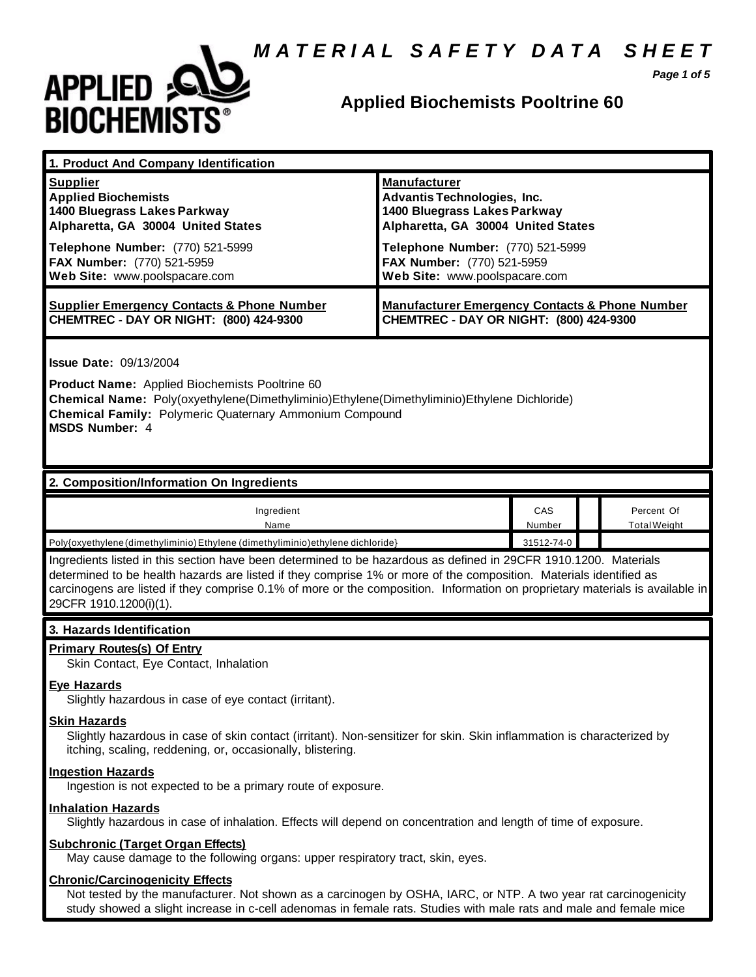## *M A T E R I A L S A F E T Y D A T A S H E E T*



## **Applied Biochemists Pooltrine 60**

*Page 1 of 5*

| 1. Product And Company Identification                                                                                                                                                                                                                                                                                                                                                             |                                                                                                                                                                                                                             |               |  |                                   |  |
|---------------------------------------------------------------------------------------------------------------------------------------------------------------------------------------------------------------------------------------------------------------------------------------------------------------------------------------------------------------------------------------------------|-----------------------------------------------------------------------------------------------------------------------------------------------------------------------------------------------------------------------------|---------------|--|-----------------------------------|--|
| <b>Supplier</b><br><b>Applied Biochemists</b><br>1400 Bluegrass Lakes Parkway<br>Alpharetta, GA 30004 United States<br>Telephone Number: (770) 521-5999<br>FAX Number: (770) 521-5959<br>Web Site: www.poolspacare.com                                                                                                                                                                            | <b>Manufacturer</b><br>Advantis Technologies, Inc.<br>1400 Bluegrass Lakes Parkway<br>Alpharetta, GA 30004 United States<br>Telephone Number: (770) 521-5999<br>FAX Number: (770) 521-5959<br>Web Site: www.poolspacare.com |               |  |                                   |  |
| <b>Supplier Emergency Contacts &amp; Phone Number</b><br>CHEMTREC - DAY OR NIGHT: (800) 424-9300                                                                                                                                                                                                                                                                                                  | <b>Manufacturer Emergency Contacts &amp; Phone Number</b><br>CHEMTREC - DAY OR NIGHT: (800) 424-9300                                                                                                                        |               |  |                                   |  |
| <b>Issue Date: 09/13/2004</b><br>Product Name: Applied Biochemists Pooltrine 60<br>Chemical Name: Poly(oxyethylene(Dimethyliminio)Ethylene(Dimethyliminio)Ethylene Dichloride)<br><b>Chemical Family: Polymeric Quaternary Ammonium Compound</b><br><b>MSDS Number: 4</b>                                                                                                                         |                                                                                                                                                                                                                             |               |  |                                   |  |
| 2. Composition/Information On Ingredients                                                                                                                                                                                                                                                                                                                                                         |                                                                                                                                                                                                                             |               |  |                                   |  |
| Ingredient<br>Name                                                                                                                                                                                                                                                                                                                                                                                |                                                                                                                                                                                                                             | CAS<br>Number |  | Percent Of<br><b>Total Weight</b> |  |
| Poly{oxyethylene (dimethyliminio) Ethylene (dimethyliminio) ethylene dichloride}                                                                                                                                                                                                                                                                                                                  |                                                                                                                                                                                                                             | 31512-74-0    |  |                                   |  |
| Ingredients listed in this section have been determined to be hazardous as defined in 29CFR 1910.1200. Materials<br>determined to be health hazards are listed if they comprise 1% or more of the composition. Materials identified as<br>carcinogens are listed if they comprise 0.1% of more or the composition. Information on proprietary materials is available in<br>29CFR 1910.1200(i)(1). |                                                                                                                                                                                                                             |               |  |                                   |  |
| 3. Hazards Identification                                                                                                                                                                                                                                                                                                                                                                         |                                                                                                                                                                                                                             |               |  |                                   |  |
| <b>Primary Routes(s) Of Entry</b><br>Skin Contact, Eye Contact, Inhalation<br>Eye Hazards<br>Slightly hazardous in case of eye contact (irritant).<br><b>Skin Hazards</b><br>Slightly hazardous in case of skin contact (irritant). Non-sensitizer for skin. Skin inflammation is characterized by                                                                                                |                                                                                                                                                                                                                             |               |  |                                   |  |
| itching, scaling, reddening, or, occasionally, blistering.<br><b>Ingestion Hazards</b><br>Ingestion is not expected to be a primary route of exposure.                                                                                                                                                                                                                                            |                                                                                                                                                                                                                             |               |  |                                   |  |
| <b>Inhalation Hazards</b><br>Slightly hazardous in case of inhalation. Effects will depend on concentration and length of time of exposure.                                                                                                                                                                                                                                                       |                                                                                                                                                                                                                             |               |  |                                   |  |
| <b>Subchronic (Target Organ Effects)</b><br>May cause damage to the following organs: upper respiratory tract, skin, eyes.                                                                                                                                                                                                                                                                        |                                                                                                                                                                                                                             |               |  |                                   |  |
| <b>Chronic/Carcinogenicity Effects</b><br>Not tested by the manufacturer. Not shown as a carcinogen by OSHA, IARC, or NTP. A two year rat carcinogenicity                                                                                                                                                                                                                                         |                                                                                                                                                                                                                             |               |  |                                   |  |

study showed a slight increase in c-cell adenomas in female rats. Studies with male rats and male and female mice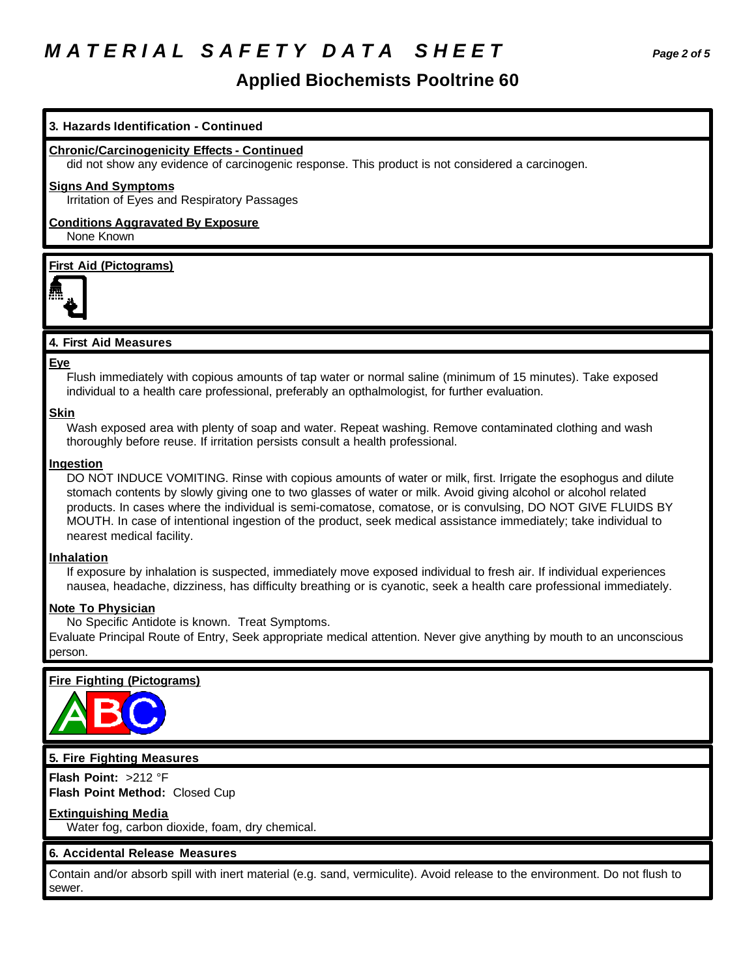## *M A T E R I A L S A F E T Y D A T A S H E E T Page 2 of 5*

### **Applied Biochemists Pooltrine 60**

### **3. Hazards Identification - Continued**

### **Chronic/Carcinogenicity Effects - Continued**

did not show any evidence of carcinogenic response. This product is not considered a carcinogen.

#### **Signs And Symptoms**

Irritation of Eyes and Respiratory Passages

#### **Conditions Aggravated By Exposure** None Known

#### **First Aid (Pictograms)**



#### **4. First Aid Measures**

#### **Eye**

Flush immediately with copious amounts of tap water or normal saline (minimum of 15 minutes). Take exposed individual to a health care professional, preferably an opthalmologist, for further evaluation.

#### **Skin**

Wash exposed area with plenty of soap and water. Repeat washing. Remove contaminated clothing and wash thoroughly before reuse. If irritation persists consult a health professional.

#### **Ingestion**

DO NOT INDUCE VOMITING. Rinse with copious amounts of water or milk, first. Irrigate the esophogus and dilute stomach contents by slowly giving one to two glasses of water or milk. Avoid giving alcohol or alcohol related products. In cases where the individual is semi-comatose, comatose, or is convulsing, DO NOT GIVE FLUIDS BY MOUTH. In case of intentional ingestion of the product, seek medical assistance immediately; take individual to nearest medical facility.

#### **Inhalation**

If exposure by inhalation is suspected, immediately move exposed individual to fresh air. If individual experiences nausea, headache, dizziness, has difficulty breathing or is cyanotic, seek a health care professional immediately.

#### **Note To Physician**

No Specific Antidote is known. Treat Symptoms.

Evaluate Principal Route of Entry, Seek appropriate medical attention. Never give anything by mouth to an unconscious person.

#### **Fire Fighting (Pictograms)**



#### **5. Fire Fighting Measures**

**Flash Point:** >212 °F **Flash Point Method:** Closed Cup

#### **Extinguishing Media**

Water fog, carbon dioxide, foam, dry chemical.

#### **6. Accidental Release Measures**

Contain and/or absorb spill with inert material (e.g. sand, vermiculite). Avoid release to the environment. Do not flush to sewer.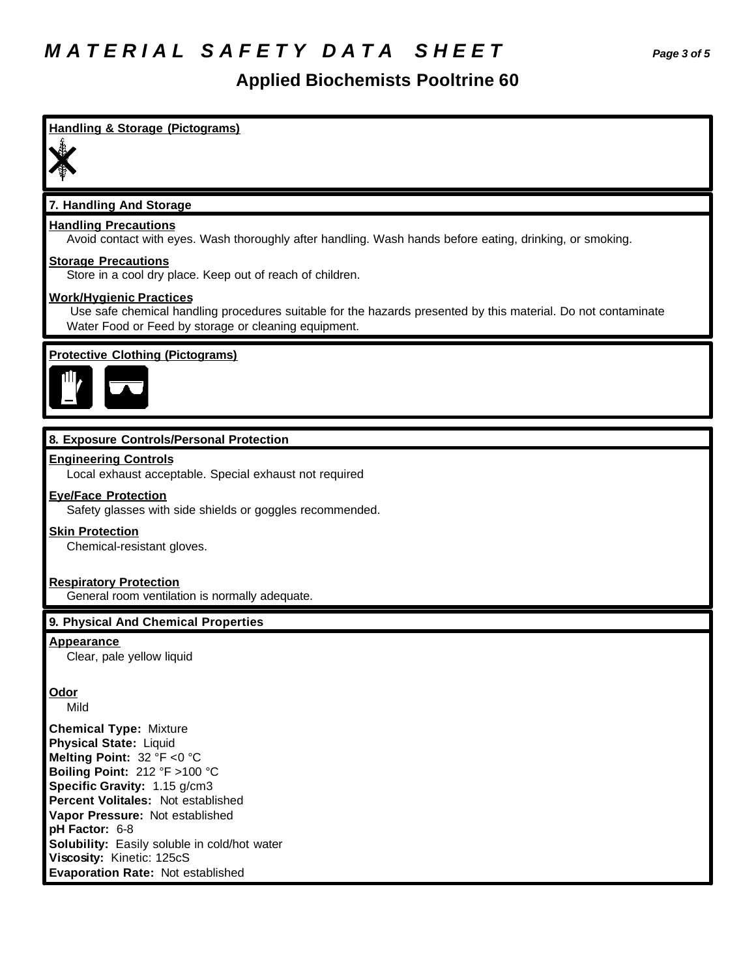### **Applied Biochemists Pooltrine 60**

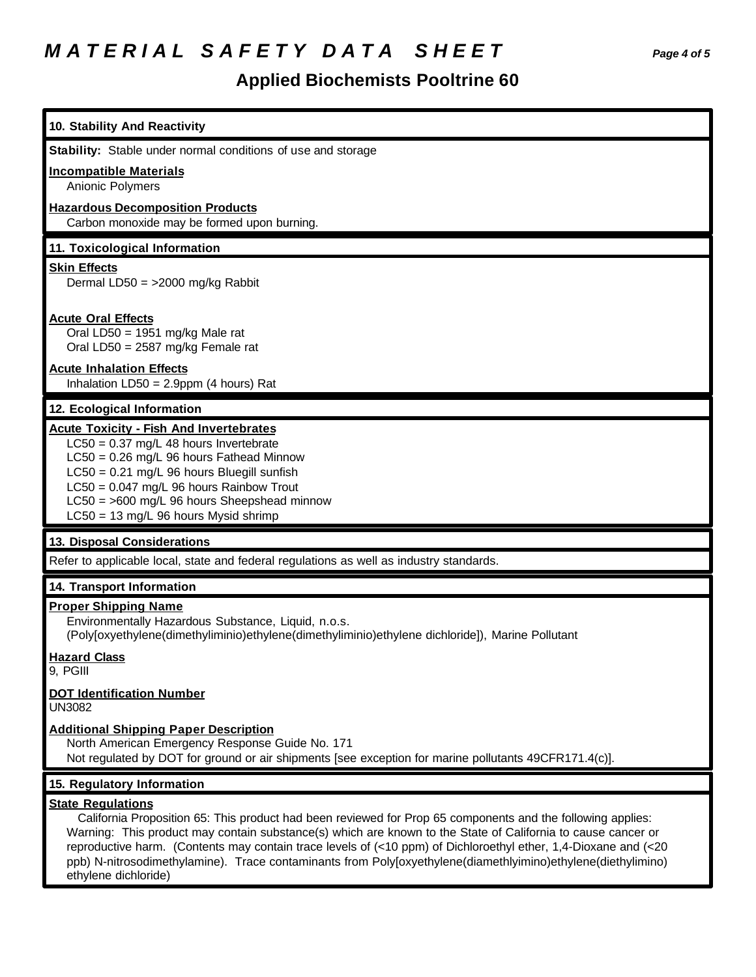# *M A T E R I A L S A F E T Y D A T A S H E E T Page 4 of 5*

## **Applied Biochemists Pooltrine 60**

| 10. Stability And Reactivity                                                                                                                                                                                                                                                                                                                                                                                                                                                                                       |
|--------------------------------------------------------------------------------------------------------------------------------------------------------------------------------------------------------------------------------------------------------------------------------------------------------------------------------------------------------------------------------------------------------------------------------------------------------------------------------------------------------------------|
| Stability: Stable under normal conditions of use and storage                                                                                                                                                                                                                                                                                                                                                                                                                                                       |
| <b>Incompatible Materials</b><br>Anionic Polymers                                                                                                                                                                                                                                                                                                                                                                                                                                                                  |
| <b>Hazardous Decomposition Products</b><br>Carbon monoxide may be formed upon burning.                                                                                                                                                                                                                                                                                                                                                                                                                             |
| 11. Toxicological Information                                                                                                                                                                                                                                                                                                                                                                                                                                                                                      |
| <b>Skin Effects</b><br>Dermal LD50 = $>2000$ mg/kg Rabbit                                                                                                                                                                                                                                                                                                                                                                                                                                                          |
| <b>Acute Oral Effects</b><br>Oral LD50 = 1951 mg/kg Male rat<br>Oral LD50 = 2587 mg/kg Female rat                                                                                                                                                                                                                                                                                                                                                                                                                  |
| <b>Acute Inhalation Effects</b><br>Inhalation $LD50 = 2.9$ ppm (4 hours) Rat                                                                                                                                                                                                                                                                                                                                                                                                                                       |
| 12. Ecological Information                                                                                                                                                                                                                                                                                                                                                                                                                                                                                         |
| <b>Acute Toxicity - Fish And Invertebrates</b><br>$LC50 = 0.37$ mg/L 48 hours Invertebrate<br>LC50 = 0.26 mg/L 96 hours Fathead Minnow<br>LC50 = 0.21 mg/L 96 hours Bluegill sunfish<br>$LC50 = 0.047$ mg/L 96 hours Rainbow Trout<br>LC50 = >600 mg/L 96 hours Sheepshead minnow<br>$LC50 = 13$ mg/L 96 hours Mysid shrimp                                                                                                                                                                                        |
| 13. Disposal Considerations                                                                                                                                                                                                                                                                                                                                                                                                                                                                                        |
| Refer to applicable local, state and federal regulations as well as industry standards.                                                                                                                                                                                                                                                                                                                                                                                                                            |
| 14. Transport Information                                                                                                                                                                                                                                                                                                                                                                                                                                                                                          |
| <b>Proper Shipping Name</b><br>Environmentally Hazardous Substance, Liquid, n.o.s.<br>(Poly[oxyethylene(dimethyliminio)ethylene(dimethyliminio)ethylene dichloride]), Marine Pollutant                                                                                                                                                                                                                                                                                                                             |
| <b>Hazard Class</b><br>9, PGIII                                                                                                                                                                                                                                                                                                                                                                                                                                                                                    |
| <b>DOT Identification Number</b><br>UN3082                                                                                                                                                                                                                                                                                                                                                                                                                                                                         |
| <b>Additional Shipping Paper Description</b><br>North American Emergency Response Guide No. 171<br>Not regulated by DOT for ground or air shipments [see exception for marine pollutants 49CFR171.4(c)].                                                                                                                                                                                                                                                                                                           |
| 15. Regulatory Information                                                                                                                                                                                                                                                                                                                                                                                                                                                                                         |
| <b>State Regulations</b><br>California Proposition 65: This product had been reviewed for Prop 65 components and the following applies:<br>Warning: This product may contain substance(s) which are known to the State of California to cause cancer or<br>reproductive harm. (Contents may contain trace levels of (<10 ppm) of Dichloroethyl ether, 1,4-Dioxane and (<20<br>ppb) N-nitrosodimethylamine). Trace contaminants from Poly[oxyethylene(diamethlyimino)ethylene(diethylimino)<br>ethylene dichloride) |